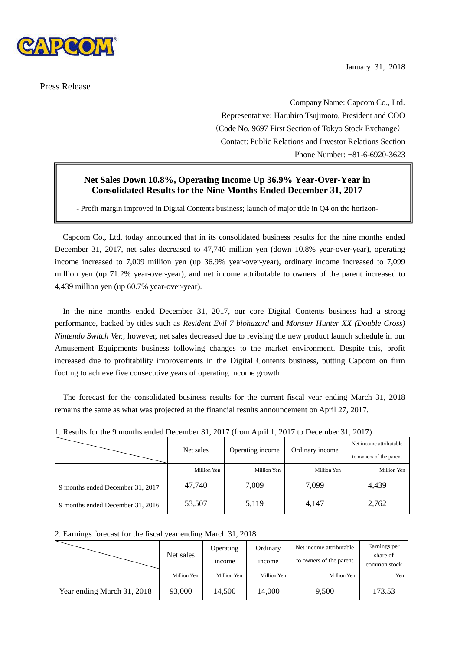

Press Release

January 31, 2018

 Company Name: Capcom Co., Ltd. Representative: Haruhiro Tsujimoto, President and COO (Code No. 9697 First Section of Tokyo Stock Exchange) Contact: Public Relations and Investor Relations Section Phone Number: +81-6-6920-3623

# **Net Sales Down 10.8%, Operating Income Up 36.9% Year-Over-Year in Consolidated Results for the Nine Months Ended December 31, 2017**

- Profit margin improved in Digital Contents business; launch of major title in Q4 on the horizon-

Capcom Co., Ltd. today announced that in its consolidated business results for the nine months ended December 31, 2017, net sales decreased to 47,740 million yen (down 10.8% year-over-year), operating income increased to 7,009 million yen (up 36.9% year-over-year), ordinary income increased to 7,099 million yen (up 71.2% year-over-year), and net income attributable to owners of the parent increased to 4,439 million yen (up 60.7% year-over-year).

In the nine months ended December 31, 2017, our core Digital Contents business had a strong performance, backed by titles such as *Resident Evil 7 biohazard* and *Monster Hunter XX (Double Cross) Nintendo Switch Ver.*; however, net sales decreased due to revising the new product launch schedule in our Amusement Equipments business following changes to the market environment. Despite this, profit increased due to profitability improvements in the Digital Contents business, putting Capcom on firm footing to achieve five consecutive years of operating income growth.

The forecast for the consolidated business results for the current fiscal year ending March 31, 2018 remains the same as what was projected at the financial results announcement on April 27, 2017.

|                                  | Net sales   | Operating income | Ordinary income | Net income attributable |
|----------------------------------|-------------|------------------|-----------------|-------------------------|
|                                  |             |                  |                 | to owners of the parent |
|                                  | Million Yen | Million Yen      | Million Yen     | Million Yen             |
| 9 months ended December 31, 2017 | 47,740      | 7,009            | 7,099           | 4,439                   |
| 9 months ended December 31, 2016 | 53,507      | 5,119            | 4,147           | 2,762                   |

1. Results for the 9 months ended December 31, 2017 (from April 1, 2017 to December 31, 2017)

#### 2. Earnings forecast for the fiscal year ending March 31, 2018

|                            |             | Operating    | Ordinary      | Net income attributable | Earnings per             |
|----------------------------|-------------|--------------|---------------|-------------------------|--------------------------|
|                            | Net sales   | <i>ncome</i> | <i>n</i> come | to owners of the parent | share of<br>common stock |
|                            | Million Yen | Million Yen  | Million Yen   | Million Yen             | Yen                      |
| Year ending March 31, 2018 | 93,000      | 14,500       | 14,000        | 9,500                   | 173.53                   |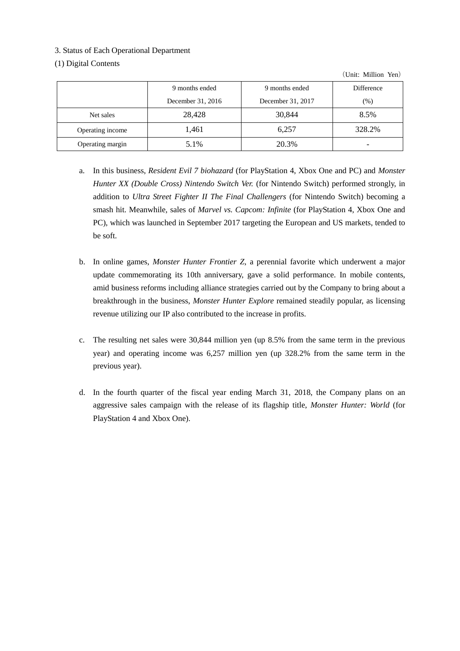# 3. Status of Each Operational Department

# (1) Digital Contents

(Unit: Million Yen)

|                  | 9 months ended    | 9 months ended    | <b>Difference</b> |
|------------------|-------------------|-------------------|-------------------|
|                  | December 31, 2016 | December 31, 2017 | (%)               |
| Net sales        | 28,428            | 30,844            | 8.5%              |
| Operating income | 1,461             | 6,257             | 328.2%            |
| Operating margin | 5.1%              | 20.3%             |                   |

- a. In this business, *Resident Evil 7 biohazard* (for PlayStation 4, Xbox One and PC) and *Monster Hunter XX (Double Cross) Nintendo Switch Ver.* (for Nintendo Switch) performed strongly, in addition to *Ultra Street Fighter II The Final Challengers* (for Nintendo Switch) becoming a smash hit. Meanwhile, sales of *Marvel vs. Capcom: Infinite* (for PlayStation 4, Xbox One and PC), which was launched in September 2017 targeting the European and US markets, tended to be soft.
- b. In online games, *Monster Hunter Frontier Z*, a perennial favorite which underwent a major update commemorating its 10th anniversary, gave a solid performance. In mobile contents, amid business reforms including alliance strategies carried out by the Company to bring about a breakthrough in the business, *Monster Hunter Explore* remained steadily popular, as licensing revenue utilizing our IP also contributed to the increase in profits.
- c. The resulting net sales were 30,844 million yen (up 8.5% from the same term in the previous year) and operating income was 6,257 million yen (up 328.2% from the same term in the previous year).
- d. In the fourth quarter of the fiscal year ending March 31, 2018, the Company plans on an aggressive sales campaign with the release of its flagship title, *Monster Hunter: World* (for PlayStation 4 and Xbox One).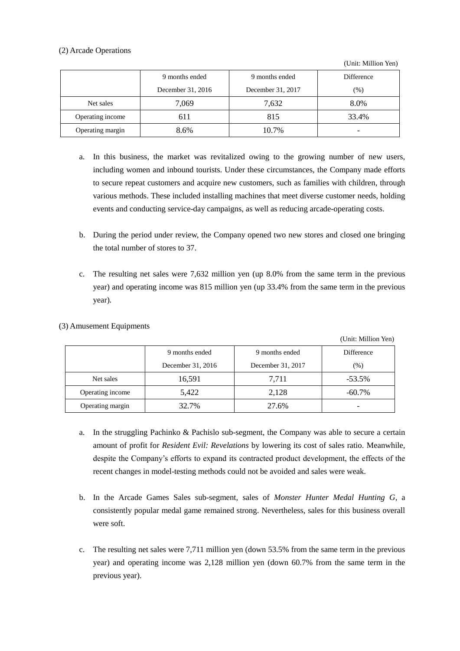# (2) Arcade Operations

(Unit: Million Yen)

 $(TU)$ : Million Yen)

|                  | 9 months ended    | 9 months ended    | Difference               |
|------------------|-------------------|-------------------|--------------------------|
|                  | December 31, 2016 | December 31, 2017 | $(\%)$                   |
| Net sales        | 7,069             | 7,632             | 8.0%                     |
| Operating income | 611               | 815               | 33.4%                    |
| Operating margin | 8.6%              | 10.7%             | $\overline{\phantom{0}}$ |

- a. In this business, the market was revitalized owing to the growing number of new users, including women and inbound tourists. Under these circumstances, the Company made efforts to secure repeat customers and acquire new customers, such as families with children, through various methods. These included installing machines that meet diverse customer needs, holding events and conducting service-day campaigns, as well as reducing arcade-operating costs.
- b. During the period under review, the Company opened two new stores and closed one bringing the total number of stores to 37.
- c. The resulting net sales were 7,632 million yen (up 8.0% from the same term in the previous year) and operating income was 815 million yen (up 33.4% from the same term in the previous year).

|                  |                   |                   | (UMIL. MINIUM ITH) |
|------------------|-------------------|-------------------|--------------------|
|                  | 9 months ended    |                   | Difference         |
|                  | December 31, 2016 | December 31, 2017 | (%)                |
| Net sales        | 16,591            | 7,711             | $-53.5%$           |
| Operating income | 5,422             | 2,128             | $-60.7\%$          |
| Operating margin | 32.7%             | 27.6%             |                    |

(3) Amusement Equipments

- a. In the struggling Pachinko & Pachislo sub-segment, the Company was able to secure a certain amount of profit for *Resident Evil: Revelations* by lowering its cost of sales ratio. Meanwhile, despite the Company's efforts to expand its contracted product development, the effects of the recent changes in model-testing methods could not be avoided and sales were weak.
- b. In the Arcade Games Sales sub-segment, sales of *Monster Hunter Medal Hunting G*, a consistently popular medal game remained strong. Nevertheless, sales for this business overall were soft.
- c. The resulting net sales were 7,711 million yen (down 53.5% from the same term in the previous year) and operating income was 2,128 million yen (down 60.7% from the same term in the previous year).